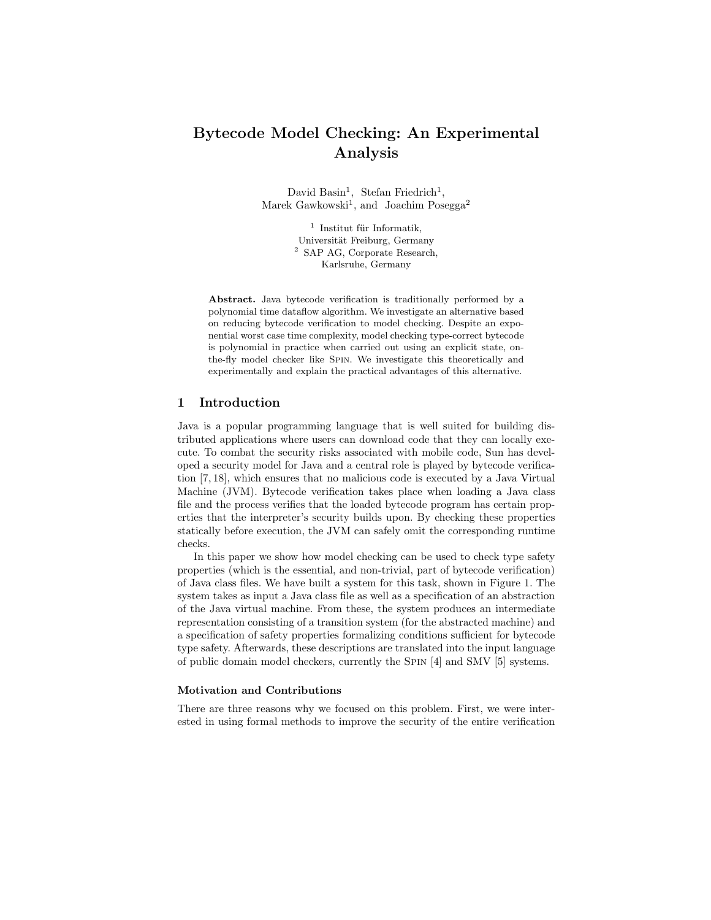# **Bytecode Model Checking: An Experimental Analysis**

David Basin<sup>1</sup>, Stefan Friedrich<sup>1</sup>, Marek Gawkowski<sup>1</sup>, and Joachim Posegga<sup>2</sup>

> $1$  Institut für Informatik, Universität Freiburg, Germany <sup>2</sup> SAP AG, Corporate Research, Karlsruhe, Germany

**Abstract.** Java bytecode verification is traditionally performed by a polynomial time dataflow algorithm. We investigate an alternative based on reducing bytecode verification to model checking. Despite an exponential worst case time complexity, model checking type-correct bytecode is polynomial in practice when carried out using an explicit state, onthe-fly model checker like SPIN. We investigate this theoretically and experimentally and explain the practical advantages of this alternative.

# **1 Introduction**

Java is a popular programming language that is well suited for building distributed applications where users can download code that they can locally execute. To combat the security risks associated with mobile code, Sun has developed a security model for Java and a central role is played by bytecode verification [7, 18], which ensures that no malicious code is executed bya Java Virtual Machine (JVM). Bytecode verification takes place when loading a Java class file and the process verifies that the loaded bytecode program has certain properties that the interpreter's security builds upon. By checking these properties statically before execution, the JVM can safely omit the corresponding runtime checks.

In this paper we show how model checking can be used to check type safety properties (which is the essential, and non-trivial, part of bytecode verification) of Java class files. We have built a system for this task, shown in Figure 1. The system takes as input a Java class file as well as a specification of an abstraction of the Java virtual machine. From these, the system produces an intermediate representation consisting of a transition system (for the abstracted machine) and a specification of safety properties formalizing conditions sufficient for bytecode type safety. Afterwards, these descriptions are translated into the input language of public domain model checkers, currentlythe Spin [4] and SMV [5] systems.

## **Motivation and Contributions**

There are three reasons why we focused on this problem. First, we were interested in using formal methods to improve the security of the entire verification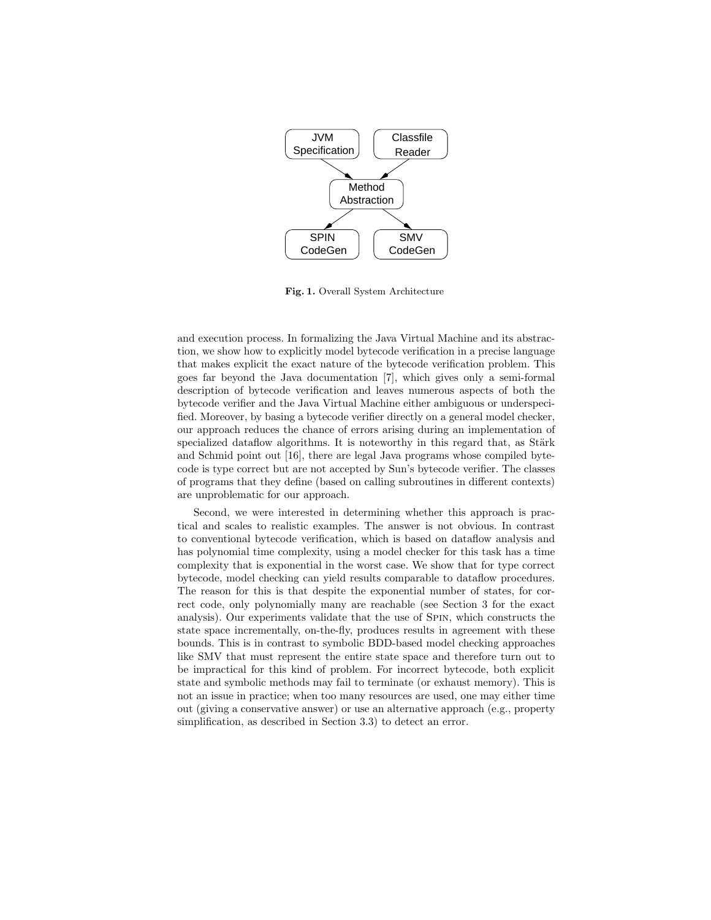

**Fig. 1.** Overall System Architecture

and execution process. In formalizing the Java Virtual Machine and its abstraction, we show how to explicitly model bytecode verification in a precise language that makes explicit the exact nature of the bytecode verification problem. This goes far beyond the Java documentation [7], which gives only a semi-formal description of bytecode verification and leaves numerous aspects of both the bytecode verifier and the Java Virtual Machine either ambiguous or underspecified. Moreover, by basing a bytecode verifier directly on a general model checker, our approach reduces the chance of errors arising during an implementation of specialized dataflow algorithms. It is noteworthy in this regard that, as Stärk and Schmid point out [16], there are legal Java programs whose compiled bytecode is type correct but are not accepted by Sun's bytecode verifier. The classes of programs that theydefine (based on calling subroutines in different contexts) are unproblematic for our approach.

Second, we were interested in determining whether this approach is practical and scales to realistic examples. The answer is not obvious. In contrast to conventional bytecode verification, which is based on dataflow analysis and has polynomial time complexity, using a model checker for this task has a time complexity that is exponential in the worst case. We show that for type correct bytecode, model checking can yield results comparable to dataflow procedures. The reason for this is that despite the exponential number of states, for correct code, only polynomially many are reachable (see Section 3 for the exact analysis). Our experiments validate that the use of Spin, which constructs the state space incrementally, on-the-fly, produces results in agreement with these bounds. This is in contrast to symbolic BDD-based model checking approaches like SMV that must represent the entire state space and therefore turn out to be impractical for this kind of problem. For incorrect bytecode, both explicit state and symbolic methods may fail to terminate (or exhaust memory). This is not an issue in practice; when too manyresources are used, one mayeither time out (giving a conservative answer) or use an alternative approach (e.g., property simplification, as described in Section 3.3) to detect an error.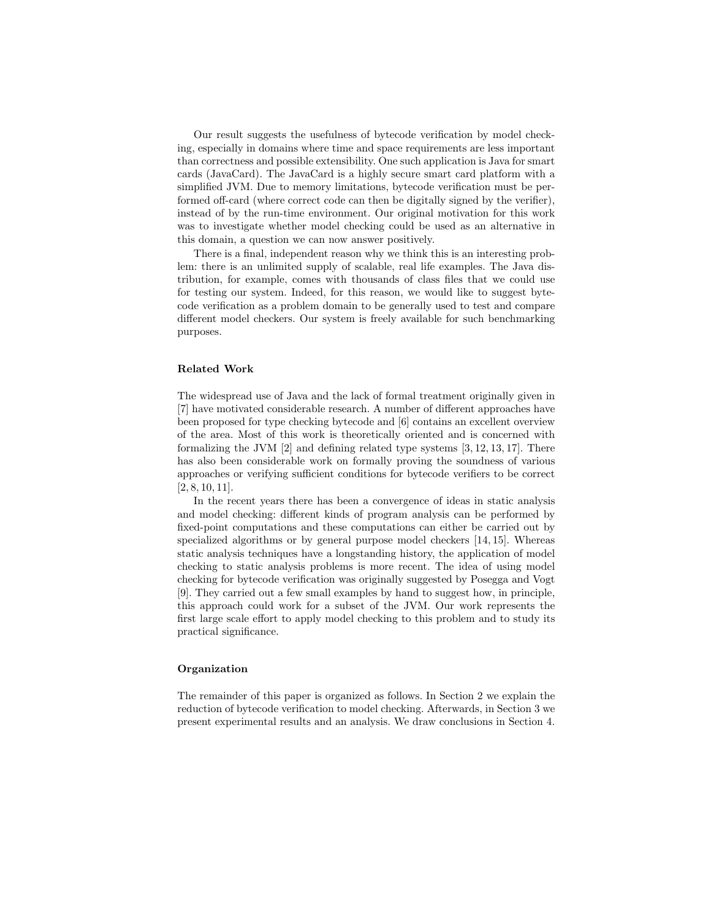Our result suggests the usefulness of bytecode verification by model checking, especially in domains where time and space requirements are less important than correctness and possible extensibility. One such application is Java for smart cards (JavaCard). The JavaCard is a highly secure smart card platform with a simplified JVM. Due to memory limitations, bytecode verification must be performed off-card (where correct code can then be digitally signed by the verifier), instead of by the run-time environment. Our original motivation for this work was to investigate whether model checking could be used as an alternative in this domain, a question we can now answer positively.

There is a final, independent reason why we think this is an interesting problem: there is an unlimited supply of scalable, real life examples. The Java distribution, for example, comes with thousands of class files that we could use for testing our system. Indeed, for this reason, we would like to suggest bytecode verification as a problem domain to be generallyused to test and compare different model checkers. Our system is freely available for such benchmarking purposes.

#### **Related Work**

The widespread use of Java and the lack of formal treatment originallygiven in [7] have motivated considerable research. A number of different approaches have been proposed for type checking bytecode and [6] contains an excellent overview of the area. Most of this work is theoretically oriented and is concerned with formalizing the JVM [2] and defining related type systems [3, 12, 13, 17]. There has also been considerable work on formally proving the soundness of various approaches or verifying sufficient conditions for bytecode verifiers to be correct [2, 8, 10, 11].

In the recent years there has been a convergence of ideas in static analysis and model checking: different kinds of program analysis can be performed by fixed-point computations and these computations can either be carried out by specialized algorithms or by general purpose model checkers [14, 15]. Whereas static analysis techniques have a longstanding history, the application of model checking to static analysis problems is more recent. The idea of using model checking for bytecode verification was originally suggested by Posegga and Vogt [9]. Theycarried out a few small examples byhand to suggest how, in principle, this approach could work for a subset of the JVM. Our work represents the first large scale effort to apply model checking to this problem and to study its practical significance.

## **Organization**

The remainder of this paper is organized as follows. In Section 2 we explain the reduction of bytecode verification to model checking. Afterwards, in Section 3 we present experimental results and an analysis. We draw conclusions in Section 4.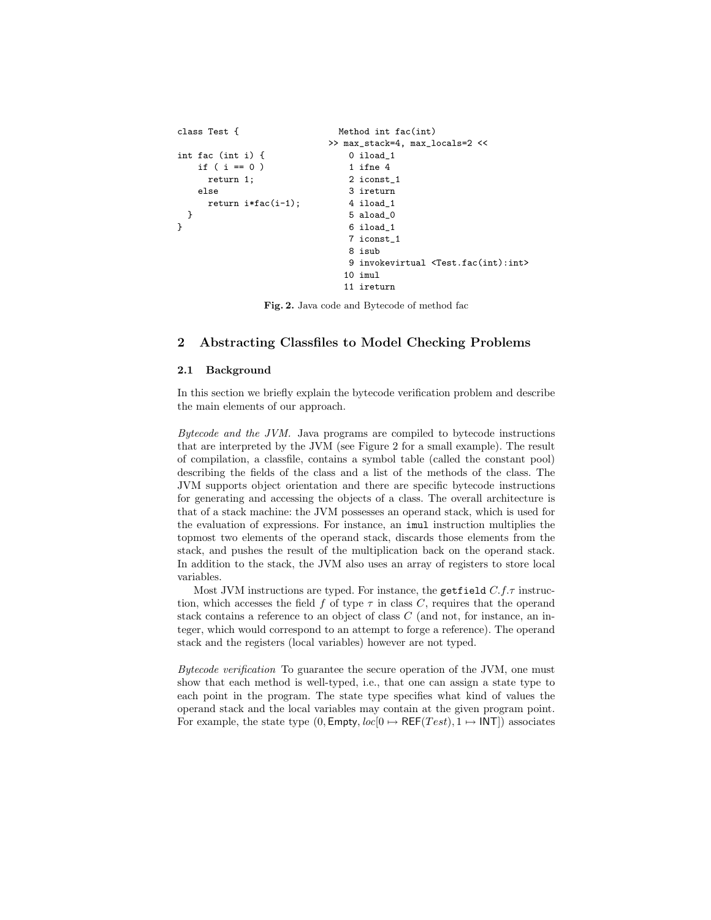```
class Test {
int fac (int i) {
    if ( i == 0 )
      return 1;
    else
      return i*fac(i-1);
  }
}
                                Method int fac(int)
                              >> max_stack=4, max_locals=2 <<
                                  0 iload_1
                                  1 ifne 4
                                  2 iconst_1
                                   3 ireturn
                                   4 iload_1
                                   5 aload_0
                                   6 iload_1
                                   7 iconst_1
                                   8 isub
                                  9 invokevirtual <Test.fac(int):int>
                                  10 imul
                                  11 ireturn
```
**Fig. 2.** Java code and Bytecode of method fac

## **2 Abstracting Classfiles to Model Checking Problems**

#### **2.1 Background**

In this section we briefly explain the bytecode verification problem and describe the main elements of our approach.

*Bytecode and the JVM.* Java programs are compiled to bytecode instructions that are interpreted by the JVM (see Figure 2 for a small example). The result of compilation, a classfile, contains a symbol table (called the constant pool) describing the fields of the class and a list of the methods of the class. The JVM supports object orientation and there are specific bytecode instructions for generating and accessing the objects of a class. The overall architecture is that of a stack machine: the JVM possesses an operand stack, which is used for the evaluation of expressions. For instance, an imul instruction multiplies the topmost two elements of the operand stack, discards those elements from the stack, and pushes the result of the multiplication back on the operand stack. In addition to the stack, the JVM also uses an array of registers to store local variables.

Most JVM instructions are typed. For instance, the getfield  $C.f.\tau$  instruction, which accesses the field f of type  $\tau$  in class C, requires that the operand stack contains a reference to an object of class C (and not, for instance, an integer, which would correspond to an attempt to forge a reference). The operand stack and the registers (local variables) however are not typed.

*Bytecode verification* To guarantee the secure operation of the JVM, one must show that each method is well-typed, i.e., that one can assign a state type to each point in the program. The state type specifies what kind of values the operand stack and the local variables maycontain at the given program point. For example, the state type  $(0, \text{Empty}, \text{loc}[0 \rightarrow \text{REF}(Test), 1 \rightarrow \text{INT}])$  associates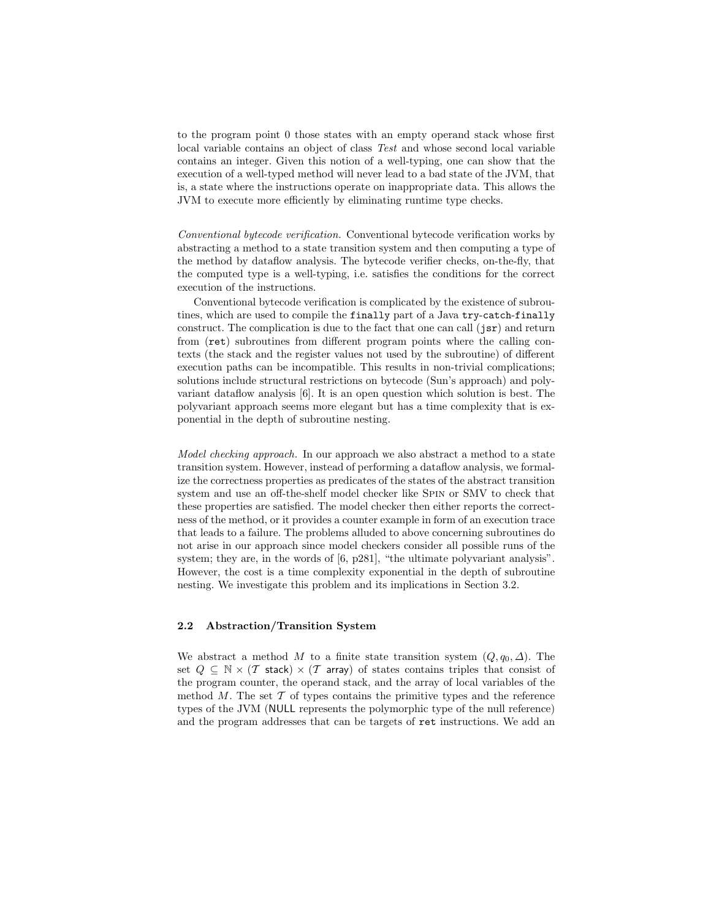to the program point 0 those states with an emptyoperand stack whose first local variable contains an object of class *Test* and whose second local variable contains an integer. Given this notion of a well-typing, one can show that the execution of a well-typed method will never lead to a bad state of the JVM, that is, a state where the instructions operate on inappropriate data. This allows the JVM to execute more efficiently by eliminating runtime type checks.

*Conventional bytecode verification.* Conventional bytecode verification works by abstracting a method to a state transition system and then computing a type of the method by dataflow analysis. The bytecode verifier checks, on-the-fly, that the computed type is a well-typing, i.e. satisfies the conditions for the correct execution of the instructions.

Conventional bytecode verification is complicated by the existence of subroutines, which are used to compile the finally part of a Java try-catch-finally construct. The complication is due to the fact that one can call ( $jsr$ ) and return from (ret) subroutines from different program points where the calling contexts (the stack and the register values not used bythe subroutine) of different execution paths can be incompatible. This results in non-trivial complications; solutions include structural restrictions on bytecode (Sun's approach) and polyvariant dataflow analysis [6]. It is an open question which solution is best. The polyvariant approach seems more elegant but has a time complexity that is exponential in the depth of subroutine nesting.

*Model checking approach.* In our approach we also abstract a method to a state transition system. However, instead of performing a dataflow analysis, we formalize the correctness properties as predicates of the states of the abstract transition system and use an off-the-shelf model checker like Spin or SMV to check that these properties are satisfied. The model checker then either reports the correctness of the method, or it provides a counter example in form of an execution trace that leads to a failure. The problems alluded to above concerning subroutines do not arise in our approach since model checkers consider all possible runs of the system; they are, in the words of [6, p281], "the ultimate polyvariant analysis". However, the cost is a time complexityexponential in the depth of subroutine nesting. We investigate this problem and its implications in Section 3.2.

## **2.2 Abstraction/Transition System**

We abstract a method M to a finite state transition system  $(Q, q_0, \Delta)$ . The set  $Q \subseteq \mathbb{N} \times (\mathcal{T}$  stack)  $\times (\mathcal{T}$  array) of states contains triples that consist of the program counter, the operand stack, and the arrayof local variables of the method  $M$ . The set  $\mathcal T$  of types contains the primitive types and the reference ty pes of the JVM (NULL represents the polymorphic type of the null reference) and the program addresses that can be targets of ret instructions. We add an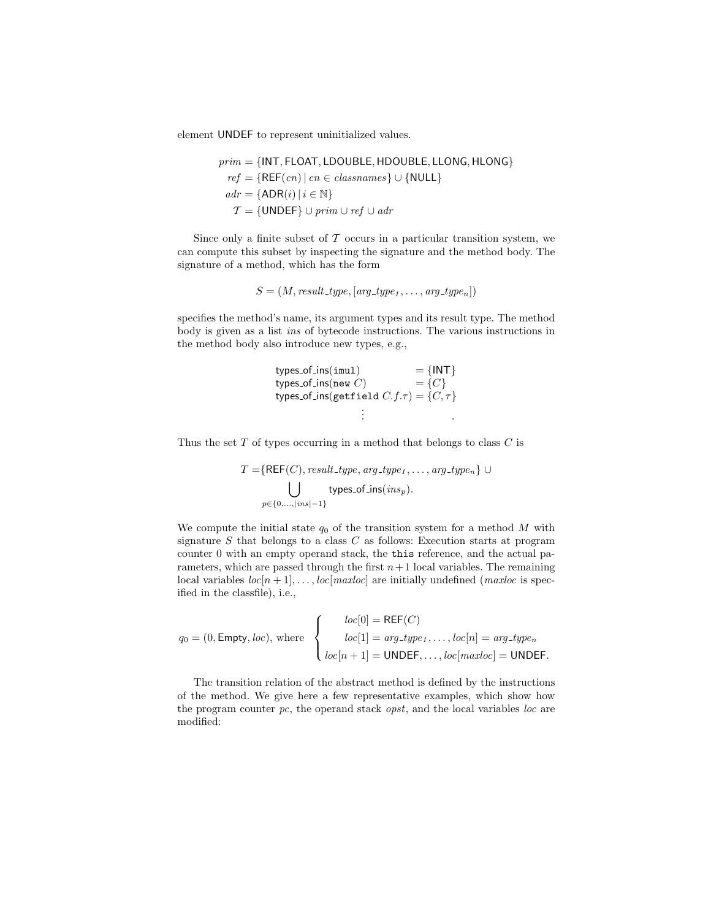element UNDEF to represent uninitialized values.

$$
prim = \{INT, FLOAT, LDOUBLE, HDOUBLE, LLONG, HLONG\}
$$
\n
$$
ref = \{REF(cn) | \ in \in classnames\} \cup \{NULL\}
$$
\n
$$
adr = \{ADR(i) | i \in \mathbb{N}\}
$$
\n
$$
T = \{UNDEF\} \cup prim \cup ref \cup adr
$$

Since only a finite subset of  $\mathcal T$  occurs in a particular transition system, we can compute this subset by inspecting the signature and the method body. The signature of a method, which has the form

$$
S = (M, result\_type, [arg\_type_1, \ldots, arg\_type_n])
$$

specifies the method's name, its argument types and its result type. The method body is given as a list *ins* of bytecode instructions. The various instructions in the method bodyalso introduce new types, e.g.,

$$
\begin{array}{ll}\n\text{types_of_in}(i \text{mul}) & = \{\text{INT}\} \\
\text{types_of_in}(new C) & = \{C\} \\
\text{types_of_in}(getfield C.f.\tau) = \{C,\tau\} & \\
&\vdots & \end{array}
$$

Thus the set  $T$  of types occurring in a method that belongs to class  $C$  is

$$
T = \{ \text{REF}(C), result\_type, arg\_type_1, \dots, arg\_type_n \} \cup \bigcup_{p \in \{0, \dots, |ins| - 1\}} \text{types_of} \cdot \text{ins}(ins_p).
$$

We compute the initial state  $q_0$  of the transition system for a method M with signature  $S$  that belongs to a class  $C$  as follows: Execution starts at program counter 0 with an empty operand stack, the this reference, and the actual parameters, which are passed through the first  $n+1$  local variables. The remaining local variables  $loc[n+1], \ldots, loc[maxloc]$  are initially undefined (*maxloc* is specified in the classfile), i.e.,

$$
q_0 = (0, \text{Empty}, loc), \text{ where } \begin{cases} loc[0] = \text{REF}(C) \\ loc[1] = arg\_type_1, \dots, loc[n] = arg\_type_n \\ loc[n+1] = \text{UNDEF}, \dots, loc[maxloc] = \text{UNDEF}. \end{cases}
$$

The transition relation of the abstract method is defined by the instructions of the method. We give here a few representative examples, which show how the program counter *pc*, the operand stack *opst*, and the local variables *loc* are modified: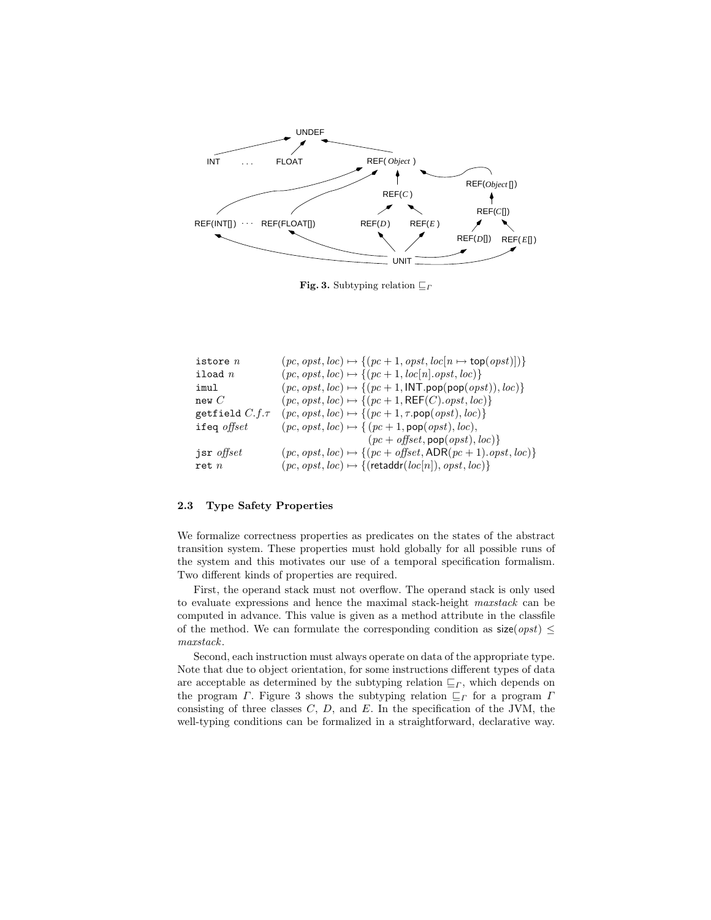

**Fig. 3.** Subtyping relation  $\mathcal{L}_I$ 

| istore $n$          | $(pc, opst, loc) \mapsto \{(pc + 1, opst, loc[n \mapsto top(opst)])\}$ |
|---------------------|------------------------------------------------------------------------|
| iload $n$           | $(pc, opst, loc) \mapsto \{(pc + 1, loc[n].opst, loc)\}\$              |
| imul                | $(pc, opst, loc) \mapsto \{(pc + 1, INT.pop(pop(op, b)), loc)\}$       |
| new C               | $(pc, opst, loc) \mapsto \{(pc + 1, REF(C).opst, loc)\}\$              |
| getfield $C.f.\tau$ | $(pc, opst, loc) \mapsto \{(pc + 1, \tau.\text{pop}(opst), loc)\}\$    |
| ifeq $offset$       | $(pc, opst, loc) \mapsto \{ (pc + 1, pop(opst), loc),$                 |
|                     | $\{pc + offset, pop(opst), loc\}$                                      |
| $jsr$ offset        | $(pc, opst, loc) \mapsto \{(pc + offset, ADR(pc + 1).opst, loc)\}\$    |
| $\mathbf{r}$ et $n$ | $(pc, opst, loc) \mapsto \{(\text{retaddr}(loc[n]), opst, loc)\}\$     |

## **2.3 Type Safety Properties**

We formalize correctness properties as predicates on the states of the abstract transition system. These properties must hold globally for all possible runs of the system and this motivates our use of a temporal specification formalism. Two different kinds of properties are required.

First, the operand stack must not overflow. The operand stack is onlyused to evaluate expressions and hence the maximal stack-height *maxstack* can be computed in advance. This value is given as a method attribute in the classfile of the method. We can formulate the corresponding condition as  $size(opst) \leq$ *maxstack*.

Second, each instruction must always operate on data of the appropriate type. Note that due to object orientation, for some instructions different types of data are acceptable as determined by the subtyping relation  $\sqsubseteq_{\Gamma}$ , which depends on the program  $\Gamma$ . Figure 3 shows the subtyping relation  $\Gamma$  for a program  $\Gamma$ consisting of three classes  $C, D$ , and  $E$ . In the specification of the JVM, the well-typing conditions can be formalized in a straightforward, declarative way.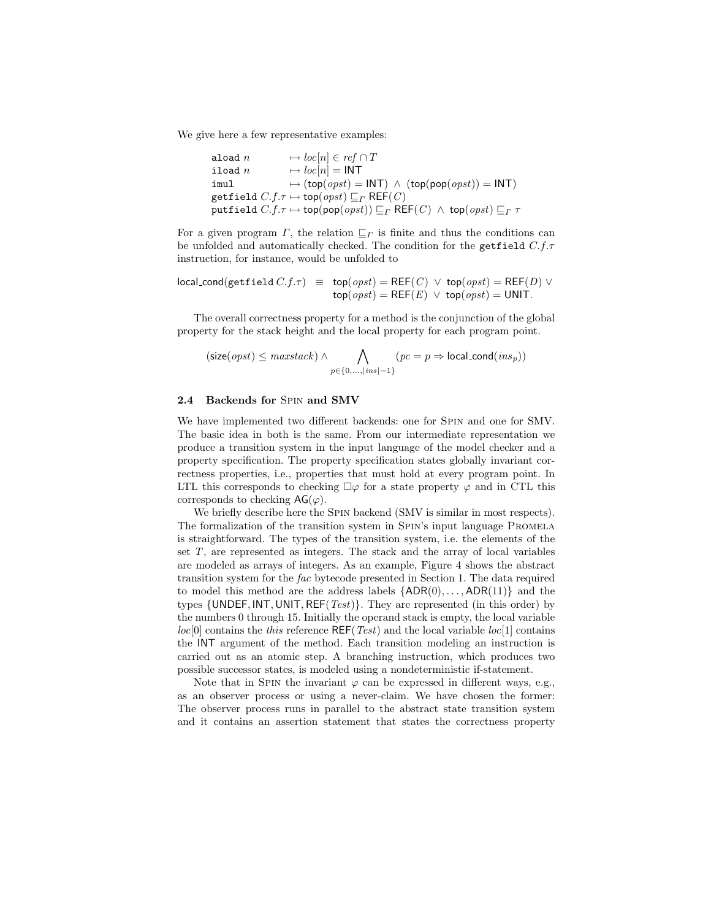We give here a few representative examples:

aload n → *loc*[n] ∈ *ref* ∩ T iload n → *loc*[n] = INT imul → (top(*opst*) = INT) ∧ (top(pop(*opst*)) = INT) getfield C.f.τ → top(*opst*) <sup>Γ</sup> REF(*C* ) putfield C.f.τ → top(pop(*opst*)) <sup>Γ</sup> REF(*C* ) ∧ top(*opst*) <sup>Γ</sup> τ

For a given program  $\Gamma$ , the relation  $\Gamma_{\Gamma}$  is finite and thus the conditions can be unfolded and automatically checked. The condition for the getfield  $C.f.\tau$ instruction, for instance, would be unfolded to

$$
local\text{-}cond(getfield C.f.\tau) \equiv top(opst) = REF(C) \lor top(opst) = REF(D) \lor top(opst) = UNIT.
$$

The overall correctness property for a method is the conjunction of the global property for the stack height and the local property for each program point.

$$
(\mathsf{size}(opst) \leq \mathit{maxstack}) \land \bigwedge_{p \in \{0,\ldots,|\mathit{ins}|-1\}}(pc = p \Rightarrow \mathsf{local\_cond}(\mathit{ins}_p))
$$

# **2.4 Backends for** Spin **and SMV**

We have implemented two different backends: one for Spin and one for SMV. The basic idea in both is the same. From our intermediate representation we produce a transition system in the input language of the model checker and a property specification. The property specification states globally invariant correctness properties, i.e., properties that must hold at every program point. In LTL this corresponds to checking  $\square \varphi$  for a state property  $\varphi$  and in CTL this corresponds to checking  $AG(\varphi)$ .

We briefly describe here the SPIN backend (SMV is similar in most respects). The formalization of the transition system in SPIN's input language PROMELA is straightforward. The types of the transition system, i.e. the elements of the set  $T$ , are represented as integers. The stack and the array of local variables are modeled as arrays of integers. As an example, Figure 4 shows the abstract transition system for the *fac* bytecode presented in Section 1. The data required to model this method are the address labels  $\{ADR(0), \ldots, DDR(11)\}\$  and the types {UNDEF, INT,UNIT, REF(*Test*)}. Theyare represented (in this order) by the numbers  $0$  through 15. Initially the operand stack is empty, the local variable *loc*[0] contains the *this* reference REF(*Test*) and the local variable *loc*[1] contains the INT argument of the method. Each transition modeling an instruction is carried out as an atomic step. A branching instruction, which produces two possible successor states, is modeled using a nondeterministic if-statement.

Note that in SPIN the invariant  $\varphi$  can be expressed in different ways, e.g., as an observer process or using a never-claim. We have chosen the former: The observer process runs in parallel to the abstract state transition system and it contains an assertion statement that states the correctness property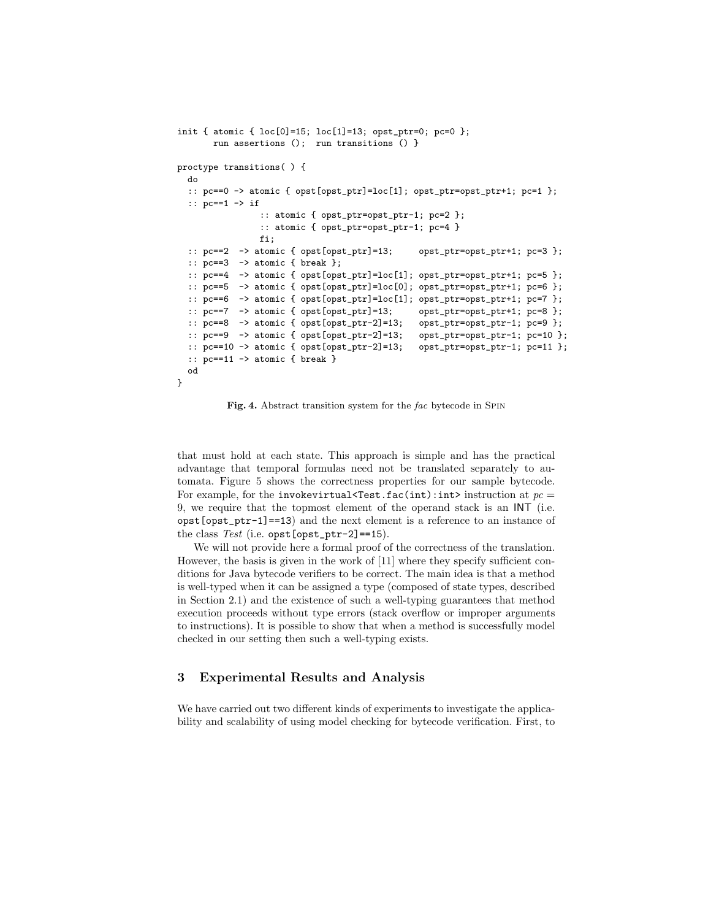```
init { atomic { loc[0]=15; loc[1]=13; opst_ptr=0; pc=0 };
       run assertions (); run transitions () }
proctype transitions( ) {
  do
  :: pc==0 -> atomic { opst[opst_ptr]=loc[1]; opst_ptr=opst_ptr+1; pc=1 };
  :: pc==1 -> if
                :: atomic { opst_ptr=opst_ptr-1; pc=2 };
                :: atomic { opst_ptr=opst_ptr-1; pc=4 }
               fi;
  :: pc==2 -> atomic { opst[opst_ptr]=13; opst_ptr=opst_ptr+1; pc=3 };
  :: pc==3 -> atomic { break };
  :: pc==4 -> atomic { opst[opst_ptr]=loc[1]; opst_ptr=opst_ptr+1; pc=5 };
  :: pc==5 -> atomic { opst[opst_ptr]=loc[0]; opst_ptr=opst_ptr+1; pc=6 };
  :: pc==6 -> atomic { opst[opst_ptr]=loc[1]; opst_ptr=opst_ptr+1; pc=7 };
  :: pc==7 -> atomic { opst[opst_ptr]=13; opst_ptr=opst_ptr+1; pc=8 };
  :: pc==8 -> atomic { opst[opst_ptr-2]=13; opst_ptr=opst_ptr-1; pc=9 };
  :: pc==9 -> atomic { opst[opst_ptr-2]=13; opst_ptr=opst_ptr-1; pc=10 };
  :: pc==10 -> atomic { opst[opst_ptr-2]=13; opst_ptr=opst_ptr-1; pc=11 };
  :: pc==11 -> atomic { break }
  od
}
```
**Fig. 4.** Abstract transition system for the *fac* bytecode in Spin

that must hold at each state. This approach is simple and has the practical advantage that temporal formulas need not be translated separately to automata. Figure 5 shows the correctness properties for our sample bytecode. For example, for the invokevirtual<Test.fac(int):int> instruction at  $pc =$ 9, we require that the topmost element of the operand stack is an INT (i.e. opst[opst\_ptr-1]==13) and the next element is a reference to an instance of the class *Test* (i.e. opst[opst\_ptr-2]==15).

We will not provide here a formal proof of the correctness of the translation. However, the basis is given in the work of  $[11]$  where they specify sufficient conditions for Java bytecode verifiers to be correct. The main idea is that a method is well-typed when it can be assigned a type (composed of state types, described in Section 2.1) and the existence of such a well-typing guarantees that method execution proceeds without type errors (stack overflow or improper arguments to instructions). It is possible to show that when a method is successfully model checked in our setting then such a well-typing exists.

# **3Experimental Results and Analysis**

We have carried out two different kinds of experiments to investigate the applicability and scalability of using model checking for bytecode verification. First, to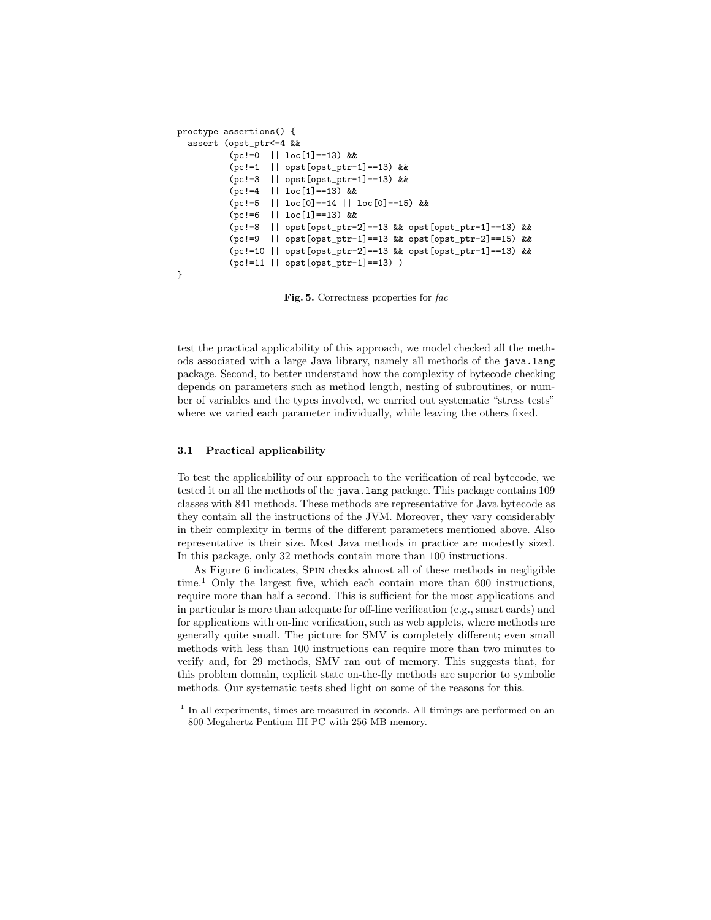```
proctype assertions() {
  assert (opst_ptr<=4 &&
          (pc!=0 || loc[1]==13) &&
          (pc!=1 || opst[opst_ptr-1]==13) &&
          (pc!=3 || opst[opst_ptr-1]==13) &&
          (pc!=4 || loc[1]==13) &&
          (pc!=5 || loc[0]==14 || loc[0]==15) &&
          (pc!=6 || loc[1]==13) &&
          (pc!=8 || opst[opst_ptr-2]==13 && opst[opst_ptr-1]==13) &&
          (pc!=9 || opst[opst_ptr-1]==13 && opst[opst_ptr-2]==15) &&
          (pc!=10 || opst[opst_ptr-2]==13 && opst[opst_ptr-1]==13) &&
          (pc!=11 || opst[opst_ptr-1]==13) )
}
```
**Fig. 5.** Correctness properties for *fac*

test the practical applicabilityof this approach, we model checked all the methods associated with a large Java library, namely all methods of the java.lang package. Second, to better understand how the complexityof bytecode checking depends on parameters such as method length, nesting of subroutines, or number of variables and the types involved, we carried out systematic "stress tests" where we varied each parameter individually, while leaving the others fixed.

## **3.1 Practical applicability**

To test the applicability of our approach to the verification of real bytecode, we tested it on all the methods of the java.lang package. This package contains 109 classes with 841 methods. These methods are representative for Java bytecode as they contain all the instructions of the JVM. Moreover, they vary considerably in their complexity in terms of the different parameters mentioned above. Also representative is their size. Most Java methods in practice are modestly sized. In this package, only32 methods contain more than 100 instructions.

As Figure 6 indicates, Spin checks almost all of these methods in negligible time.<sup>1</sup> Only the largest five, which each contain more than  $600$  instructions, require more than half a second. This is sufficient for the most applications and in particular is more than adequate for off-line verification (e.g., smart cards) and for applications with on-line verification, such as web applets, where methods are generally quite small. The picture for SMV is completely different; even small methods with less than 100 instructions can require more than two minutes to verifyand, for 29 methods, SMV ran out of memory. This suggests that, for this problem domain, explicit state on-the-flymethods are superior to symbolic methods. Our systematic tests shed light on some of the reasons for this.

 $^{\rm 1}$  In all experiments, times are measured in seconds. All timings are performed on an 800-Megahertz Pentium III PC with 256 MB memory.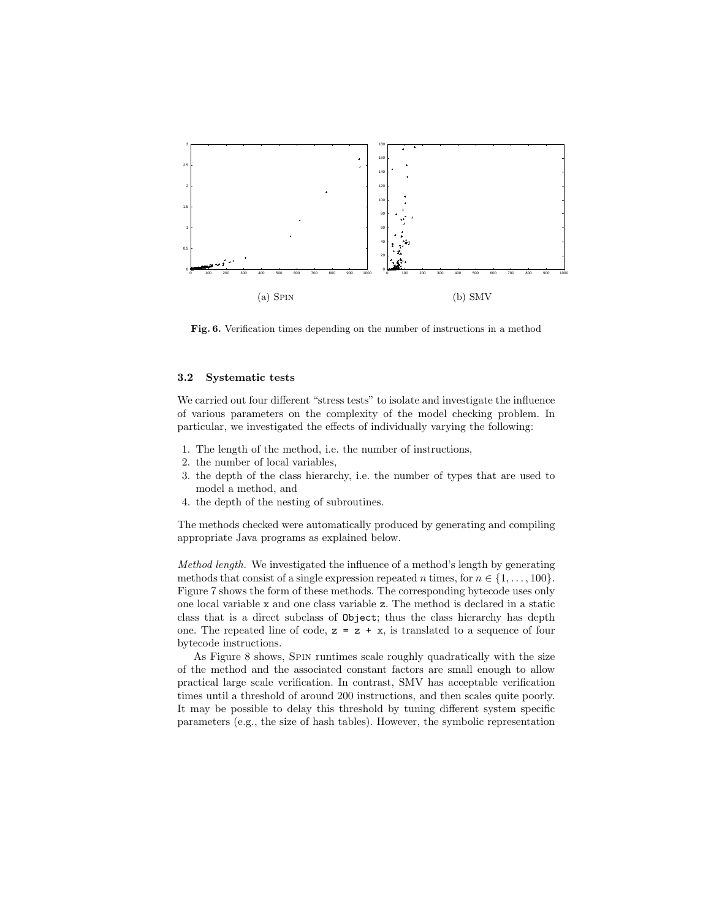

**Fig. 6.** Verification times depending on the number of instructions in a method

#### **3.2 Systematic tests**

We carried out four different "stress tests" to isolate and investigate the influence of various parameters on the complexityof the model checking problem. In particular, we investigated the effects of individually varying the following:

- 1. The length of the method, i.e. the number of instructions,
- 2. the number of local variables,
- 3. the depth of the class hierarchy, i.e. the number of types that are used to model a method, and
- 4. the depth of the nesting of subroutines.

The methods checked were automatically produced by generating and compiling appropriate Java programs as explained below.

*Method length.* We investigated the influence of a method's length by generating methods that consist of a single expression repeated n times, for  $n \in \{1, \ldots, 100\}$ . Figure 7 shows the form of these methods. The corresponding bytecode uses only one local variable x and one class variable z. The method is declared in a static class that is a direct subclass of Object; thus the class hierarchy has depth one. The repeated line of code,  $z = z + x$ , is translated to a sequence of four bytecode instructions.

As Figure 8 shows, SPIN runtimes scale roughly quadratically with the size of the method and the associated constant factors are small enough to allow practical large scale verification. In contrast, SMV has acceptable verification times until a threshold of around 200 instructions, and then scales quite poorly. It may be possible to delay this threshold by tuning different system specific parameters (e.g., the size of hash tables). However, the symbolic representation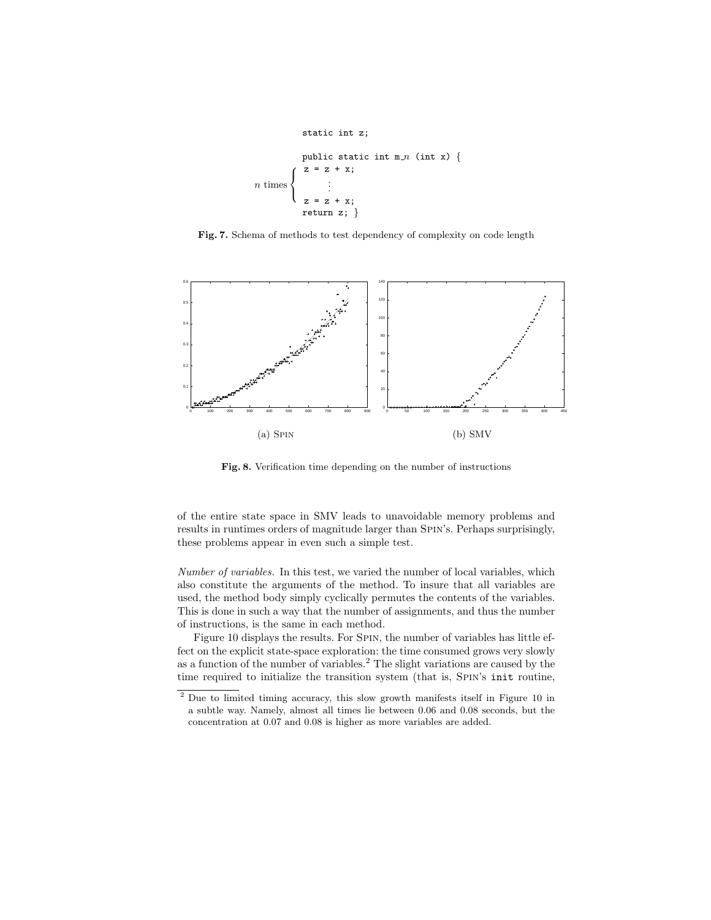```
static int z;
           public static int m_n (int x) {
n times
         \sqrt{ }Į
         \mathcal{L}= z + x;
                  .
                  .
                  .
                 z + x;
           return z; }
```
**Fig. 7.** Schema of methods to test dependency of complexity on code length



**Fig. 8.** Verification time depending on the number of instructions

of the entire state space in SMV leads to unavoidable memory problems and results in runtimes orders of magnitude larger than SPIN's. Perhaps surprisingly, these problems appear in even such a simple test.

*Number of variables.* In this test, we varied the number of local variables, which also constitute the arguments of the method. To insure that all variables are used, the method body simply cyclically permutes the contents of the variables. This is done in such a waythat the number of assignments, and thus the number of instructions, is the same in each method.

Figure 10 displays the results. For SPIN, the number of variables has little effect on the explicit state-space exploration: the time consumed grows veryslowly as a function of the number of variables.<sup>2</sup> The slight variations are caused by the time required to initialize the transition system (that is, SPIN's init routine,

<sup>&</sup>lt;sup>2</sup> Due to limited timing accuracy, this slow growth manifests itself in Figure 10 in a subtle way. Namely, almost all times lie between 0.06 and 0.08 seconds, but the concentration at 0.07 and 0.08 is higher as more variables are added.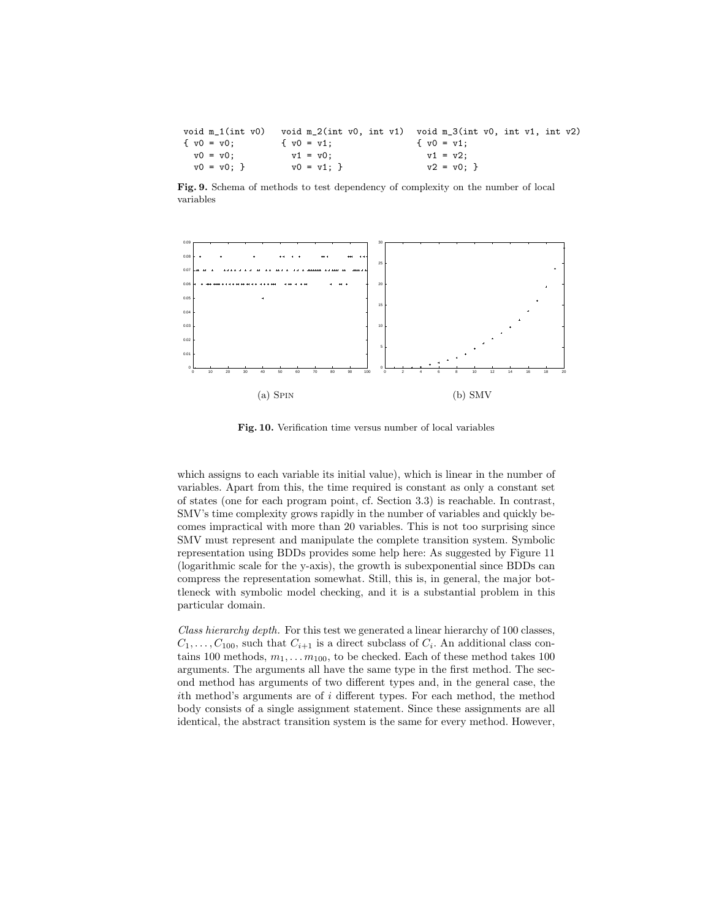| void m 1(int v0) | void $m_2(int v0, int v1)$ | void m_3(int v0, int v1, int v2) |
|------------------|----------------------------|----------------------------------|
| $v = v_0$ :      | $\{ v0 = v1:$              | $\frac{1}{2}$ v0 = v1:           |
| $v0 = v0$ :      | $v1 = v0$ :                | $v1 = v2$ :                      |
| $v0 = v0$ : }    | $v0 = v1$ : }              | $v2 = v0:$                       |

**Fig. 9.** Schema of methods to test dependency of complexity on the number of local variables



**Fig. 10.** Verification time versus number of local variables

which assigns to each variable its initial value), which is linear in the number of variables. Apart from this, the time required is constant as onlya constant set of states (one for each program point, cf. Section 3.3) is reachable. In contrast, SMV's time complexity grows rapidly in the number of variables and quickly becomes impractical with more than 20 variables. This is not too surprising since SMV must represent and manipulate the complete transition system. Symbolic representation using BDDs provides some help here: As suggested by Figure 11 (logarithmic scale for the y-axis), the growth is subexponential since BDDs can compress the representation somewhat. Still, this is, in general, the major bottleneck with symbolic model checking, and it is a substantial problem in this particular domain.

*Class hierarchy depth.* For this test we generated a linear hierarchyof 100 classes,  $C_1, \ldots, C_{100}$ , such that  $C_{i+1}$  is a direct subclass of  $C_i$ . An additional class contains 100 methods,  $m_1, \ldots m_{100}$ , to be checked. Each of these method takes 100 arguments. The arguments all have the same type in the first method. The second method has arguments of two different types and, in the general case, the ith method's arguments are of  $i$  different types. For each method, the method body consists of a single assignment statement. Since these assignments are all identical, the abstract transition system is the same for every method. However,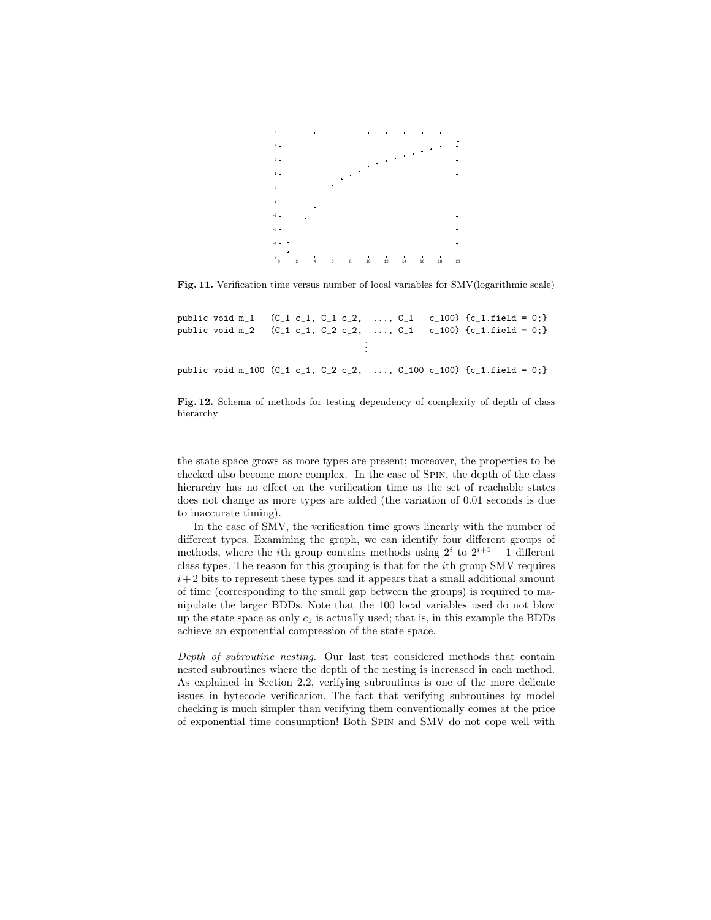

**Fig. 11.** Verification time versus number of local variables for SMV(logarithmic scale)

|  |  |  |  | public void m_1 (C_1 c_1, C_1 c_2, , C_1 c_100) {c_1.field = 0;}<br>public void m_2 (C_1 c_1, C_2 c_2, , C_1 c_100) {c_1.field = 0;}                    |  |
|--|--|--|--|---------------------------------------------------------------------------------------------------------------------------------------------------------|--|
|  |  |  |  | public void $m_100$ (C <sub>1</sub> c <sub>1</sub> , C <sub>2</sub> c <sub>2</sub> , , C <sub>100</sub> c <sub>100</sub> ) {c <sub>1</sub> .field = 0;} |  |

**Fig. 12.** Schema of methods for testing dependency of complexity of depth of class hierarchy

the state space grows as more types are present; moreover, the properties to be checked also become more complex. In the case of Spin, the depth of the class hierarchy has no effect on the verification time as the set of reachable states does not change as more types are added (the variation of 0.01 seconds is due to inaccurate timing).

In the case of SMV, the verification time grows linearly with the number of different types. Examining the graph, we can identify four different groups of methods, where the *i*th group contains methods using  $2^{i}$  to  $2^{i+1} - 1$  different class types. The reason for this grouping is that for the ith group SMV requires  $i+2$  bits to represent these types and it appears that a small additional amount of time (corresponding to the small gap between the groups) is required to manipulate the larger BDDs. Note that the 100 local variables used do not blow up the state space as only  $c_1$  is actually used; that is, in this example the BDDs achieve an exponential compression of the state space.

*Depth of subroutine nesting.* Our last test considered methods that contain nested subroutines where the depth of the nesting is increased in each method. As explained in Section 2.2, verifying subroutines is one of the more delicate issues in bytecode verification. The fact that verifying subroutines by model checking is much simpler than verifying them conventionally comes at the price of exponential time consumption! Both Spin and SMV do not cope well with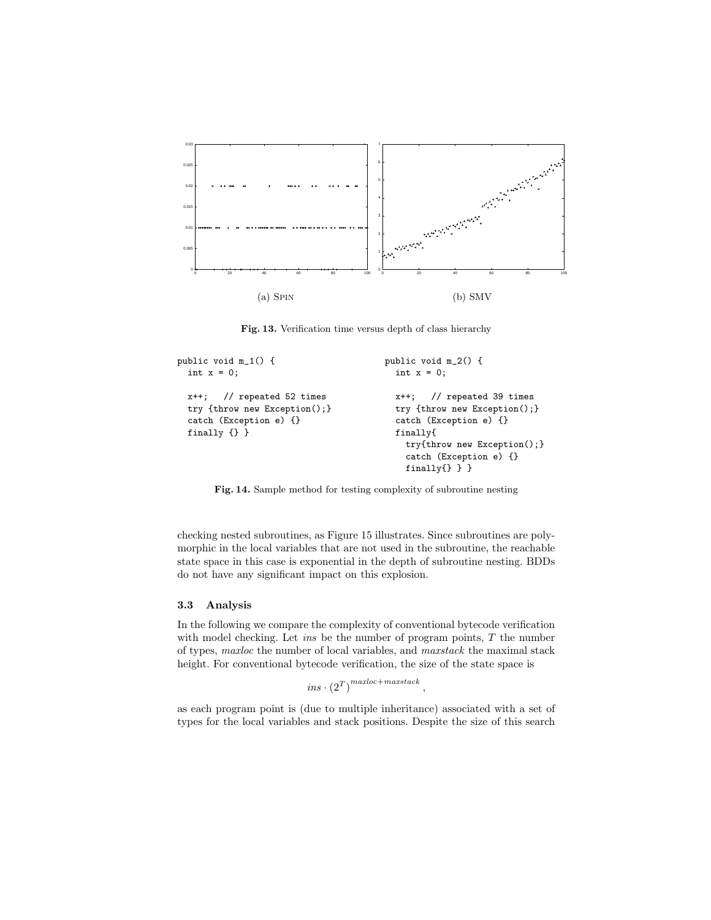

**Fig. 13.** Verification time versus depth of class hierarchy

```
public void m_1() {
  int x = 0;
  x++; // repeated 52 times
  try {throw new Exception();}
  catch (Exception e) {}
  finally {} }
                                        public void m_2() {
                                          int x = 0;
                                          x++; // repeated 39 times
                                          try {throw new Exception();}
                                          catch (Exception e) {}
                                          finally{
                                            try{throw new Exception();}
                                            catch (Exception e) {}
                                            finally{} } }
```
**Fig. 14.** Sample method for testing complexity of subroutine nesting

checking nested subroutines, as Figure 15 illustrates. Since subroutines are polymorphic in the local variables that are not used in the subroutine, the reachable state space in this case is exponential in the depth of subroutine nesting. BDDs do not have anysignificant impact on this explosion.

#### **3.3 Analysis**

In the following we compare the complexityof conventional bytecode verification with model checking. Let *ins* be the number of program points, T the number of types, *maxloc* the number of local variables, and *maxstack* the maximal stack height. For conventional bytecode verification, the size of the state space is

 $ins \cdot (2^T)^{maxloc + maxstack}$ 

as each program point is (due to multiple inheritance) associated with a set of types for the local variables and stack positions. Despite the size of this search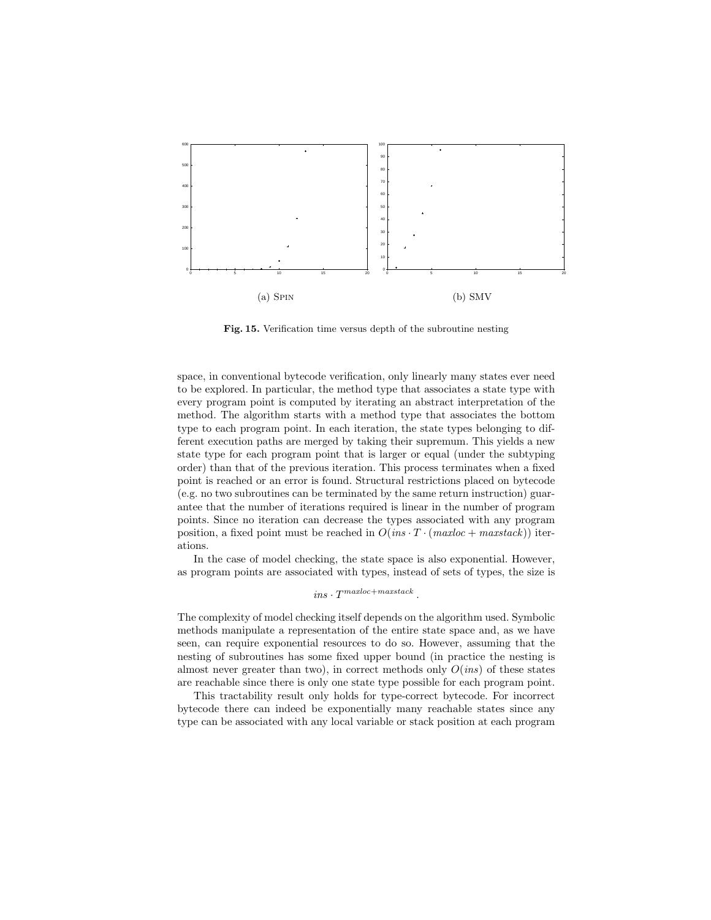

**Fig. 15.** Verification time versus depth of the subroutine nesting

space, in conventional bytecode verification, onlylinearlymanystates ever need to be explored. In particular, the method type that associates a state type with every program point is computed by iterating an abstract interpretation of the method. The algorithm starts with a method type that associates the bottom type to each program point. In each iteration, the state types belonging to different execution paths are merged bytaking their supremum. This yields a new state type for each program point that is larger or equal (under the subtyping order) than that of the previous iteration. This process terminates when a fixed point is reached or an error is found. Structural restrictions placed on bytecode (e.g. no two subroutines can be terminated bythe same return instruction) guarantee that the number of iterations required is linear in the number of program points. Since no iteration can decrease the types associated with any program position, a fixed point must be reached in  $O(ins \cdot T \cdot (maxloc + maxstack))$  iterations.

In the case of model checking, the state space is also exponential. However, as program points are associated with types, instead of sets of types, the size is

 $ins \cdot T^{maxloc+maxstack}$ 

The complexityof model checking itself depends on the algorithm used. Symbolic methods manipulate a representation of the entire state space and, as we have seen, can require exponential resources to do so. However, assuming that the nesting of subroutines has some fixed upper bound (in practice the nesting is almost never greater than two), in correct methods only O(*ins*) of these states are reachable since there is onlyone state type possible for each program point.

This tractability result only holds for type-correct bytecode. For incorrect bytecode there can indeed be exponentially many reachable states since any type can be associated with any local variable or stack position at each program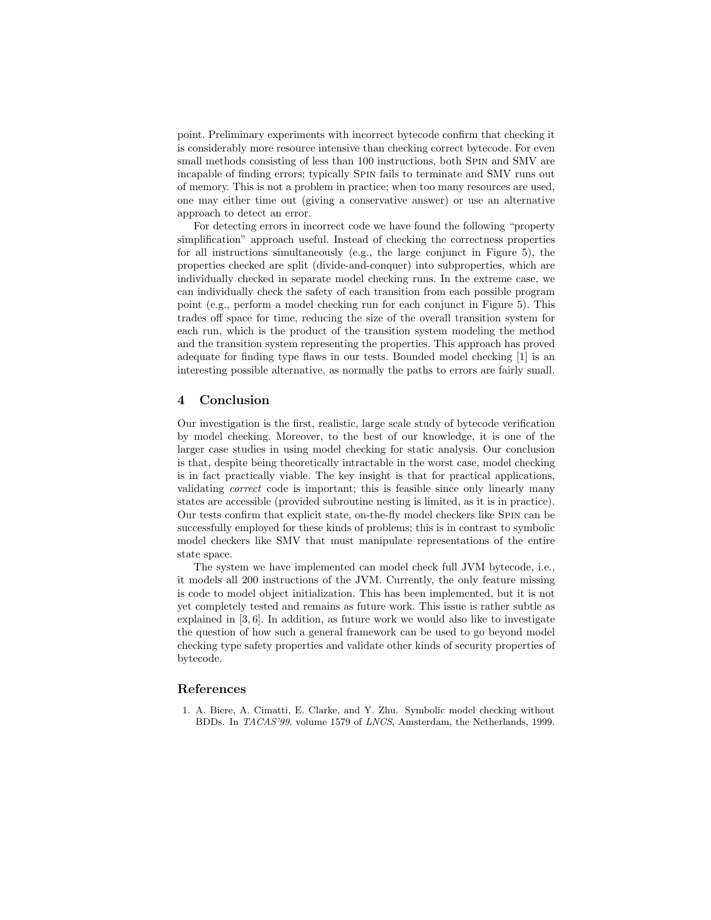point. Preliminaryexperiments with incorrect bytecode confirm that checking it is considerably more resource intensive than checking correct bytecode. For even small methods consisting of less than 100 instructions, both SPIN and SMV are incapable of finding errors; typically Spin fails to terminate and SMV runs out of memory. This is not a problem in practice; when too many resources are used, one mayeither time out (giving a conservative answer) or use an alternative approach to detect an error.

For detecting errors in incorrect code we have found the following "property simplification" approach useful. Instead of checking the correctness properties for all instructions simultaneously(e.g., the large conjunct in Figure 5), the properties checked are split (divide-and-conquer) into subproperties, which are individually checked in separate model checking runs. In the extreme case, we can individually check the safety of each transition from each possible program point (e.g., perform a model checking run for each conjunct in Figure 5). This trades off space for time, reducing the size of the overall transition system for each run, which is the product of the transition system modeling the method and the transition system representing the properties. This approach has proved adequate for finding type flaws in our tests. Bounded model checking [1] is an interesting possible alternative, as normally the paths to errors are fairly small.

## **4 Conclusion**

Our investigation is the first, realistic, large scale study of bytecode verification bymodel checking. Moreover, to the best of our knowledge, it is one of the larger case studies in using model checking for static analysis. Our conclusion is that, despite being theoretically intractable in the worst case, model checking is in fact practically viable. The key insight is that for practical applications, validating *correct* code is important; this is feasible since only linearly many states are accessible (provided subroutine nesting is limited, as it is in practice). Our tests confirm that explicit state, on-the-flymodel checkers like Spin can be successfullyemployed for these kinds of problems; this is in contrast to symbolic model checkers like SMV that must manipulate representations of the entire state space.

The system we have implemented can model check full JVM bytecode, i.e., it models all 200 instructions of the JVM. Currently, the only feature missing is code to model object initialization. This has been implemented, but it is not yet completely tested and remains as future work. This issue is rather subtle as explained in [3, 6]. In addition, as future work we would also like to investigate the question of how such a general framework can be used to go beyond model checking type safety properties and validate other kinds of security properties of bytecode.

#### **References**

1. A. Biere, A. Cimatti, E. Clarke, and Y. Zhu. Symbolic model checking without BDDs. In *TACAS'99*, volume 1579 of *LNCS*, Amsterdam, the Netherlands, 1999.